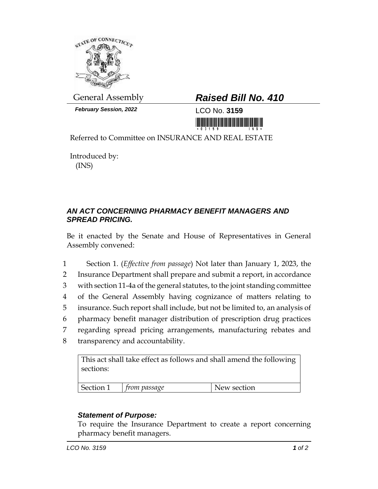

*February Session, 2022* LCO No. **3159**

## General Assembly *Raised Bill No. 410*

<u> 1999 - Andrew Maria Maria Maria Maria Maria Maria Maria Maria Maria Maria Maria Maria Maria Maria Maria Mari</u>

Referred to Committee on INSURANCE AND REAL ESTATE

Introduced by: (INS)

## *AN ACT CONCERNING PHARMACY BENEFIT MANAGERS AND SPREAD PRICING.*

Be it enacted by the Senate and House of Representatives in General Assembly convened:

 Section 1. (*Effective from passage*) Not later than January 1, 2023, the Insurance Department shall prepare and submit a report, in accordance with section 11-4a of the general statutes, to the joint standing committee of the General Assembly having cognizance of matters relating to insurance. Such report shall include, but not be limited to, an analysis of pharmacy benefit manager distribution of prescription drug practices regarding spread pricing arrangements, manufacturing rebates and transparency and accountability.

This act shall take effect as follows and shall amend the following sections:

| Section 1 | trom passage | ew section |
|-----------|--------------|------------|
|           |              |            |

## *Statement of Purpose:*

To require the Insurance Department to create a report concerning pharmacy benefit managers.